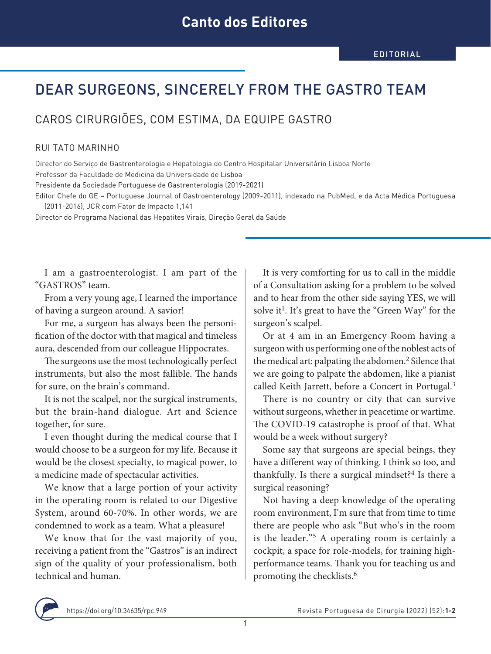## DEAR SURGEONS, SINCERELY FROM THE GASTRO TEAM

CAROS CIRURGIÕES, COM ESTIMA, DA EQUIPE GASTRO

## RUI TATO MARINHO

Director do Serviço de Gastrenterologia e Hepatologia do Centro Hospitalar Universitário Lisboa Norte

Professor da Faculdade de Medicina da Universidade de Lisboa

Presidente da Sociedade Portuguese de Gastrenterologia (2019-2021)

Editor Chefe do GE – Portuguese Journal of Gastroenterology (2009-2011), indexado na PubMed, e da Acta Médica Portuguesa (2011-2016), JCR com Fator de Impacto 1,141

Director do Programa Nacional das Hepatites Virais, Direção Geral da Saúde

I am a gastroenterologist. I am part of the "GASTROS" team.

From a very young age, I learned the importance of having a surgeon around. A savior!

For me, a surgeon has always been the personification of the doctor with that magical and timeless aura, descended from our colleague Hippocrates.

The surgeons use the most technologically perfect instruments, but also the most fallible. The hands for sure, on the brain's command.

It is not the scalpel, nor the surgical instruments, but the brain-hand dialogue. Art and Science together, for sure.

I even thought during the medical course that I would choose to be a surgeon for my life. Because it would be the closest specialty, to magical power, to a medicine made of spectacular activities.

We know that a large portion of your activity in the operating room is related to our Digestive System, around 60-70%. In other words, we are condemned to work as a team. What a pleasure!

We know that for the vast majority of you, receiving a patient from the "Gastros" is an indirect sign of the quality of your professionalism, both technical and human.

It is very comforting for us to call in the middle of a Consultation asking for a problem to be solved and to hear from the other side saying YES, we will solve it<sup>1</sup>. It's great to have the "Green Way" for the surgeon's scalpel.

Or at 4 am in an Emergency Room having a surgeon with us performing one of the noblest acts of the medical art: palpating the abdomen.<sup>2</sup> Silence that we are going to palpate the abdomen, like a pianist called Keith Jarrett, before a Concert in Portugal.<sup>3</sup>

There is no country or city that can survive without surgeons, whether in peacetime or wartime. The COVID-19 catastrophe is proof of that. What would be a week without surgery?

Some say that surgeons are special beings, they have a different way of thinking. I think so too, and thankfully. Is there a surgical mindset? $4$  Is there a surgical reasoning?

Not having a deep knowledge of the operating room environment, I'm sure that from time to time there are people who ask "But who's in the room is the leader."5 A operating room is certainly a cockpit, a space for role-models, for training highperformance teams. Thank you for teaching us and promoting the checklists.6